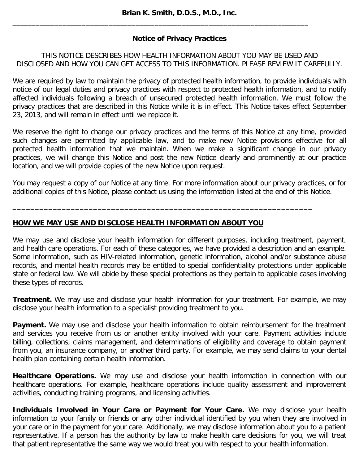\_\_\_\_\_\_\_\_\_\_\_\_\_\_\_\_\_\_\_\_\_\_\_\_\_\_\_\_\_\_\_\_\_\_\_\_\_\_\_\_\_\_\_\_\_\_\_\_\_\_\_\_\_\_\_\_\_\_\_\_\_\_\_\_\_\_\_\_\_\_\_\_\_\_\_\_\_

# **Notice of Privacy Practices**

### THIS NOTICE DESCRIBES HOW HEALTH INFORMATION ABOUT YOU MAY BE USED AND DISCLOSED AND HOW YOU CAN GET ACCESS TO THIS INFORMATION. PLEASE REVIEW IT CAREFULLY.

We are required by law to maintain the privacy of protected health information, to provide individuals with notice of our legal duties and privacy practices with respect to protected health information, and to notify affected individuals following a breach of unsecured protected health information. We must follow the privacy practices that are described in this Notice while it is in effect. This Notice takes effect September 23, 2013, and will remain in effect until we replace it.

We reserve the right to change our privacy practices and the terms of this Notice at any time, provided such changes are permitted by applicable law, and to make new Notice provisions effective for all protected health information that we maintain. When we make a significant change in our privacy practices, we will change this Notice and post the new Notice clearly and prominently at our practice location, and we will provide copies of the new Notice upon request.

You may request a copy of our Notice at any time. For more information about our privacy practices, or for additional copies of this Notice, please contact us using the information listed at the end of this Notice.

**\_\_\_\_\_\_\_\_\_\_\_\_\_\_\_\_\_\_\_\_\_\_\_\_\_\_\_\_\_\_\_\_\_\_\_\_\_\_\_\_\_\_\_\_\_\_\_\_\_\_\_\_\_\_\_\_\_\_\_\_\_\_\_\_\_\_\_**

### **HOW WE MAY USE AND DISCLOSE HEALTH INFORMATION ABOUT YOU**

We may use and disclose your health information for different purposes, including treatment, payment, and health care operations. For each of these categories, we have provided a description and an example. Some information, such as HIV-related information, genetic information, alcohol and/or substance abuse records, and mental health records may be entitled to special confidentiality protections under applicable state or federal law. We will abide by these special protections as they pertain to applicable cases involving these types of records.

**Treatment.** We may use and disclose your health information for your treatment. For example, we may disclose your health information to a specialist providing treatment to you.

**Payment.** We may use and disclose your health information to obtain reimbursement for the treatment and services you receive from us or another entity involved with your care. Payment activities include billing, collections, claims management, and determinations of eligibility and coverage to obtain payment from you, an insurance company, or another third party. For example, we may send claims to your dental health plan containing certain health information.

**Healthcare Operations.** We may use and disclose your health information in connection with our healthcare operations. For example, healthcare operations include quality assessment and improvement activities, conducting training programs, and licensing activities.

**Individuals Involved in Your Care or Payment for Your Care.** We may disclose your health information to your family or friends or any other individual identified by you when they are involved in your care or in the payment for your care. Additionally, we may disclose information about you to a patient representative. If a person has the authority by law to make health care decisions for you, we will treat that patient representative the same way we would treat you with respect to your health information.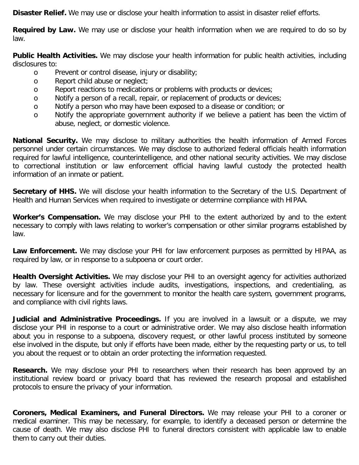**Disaster Relief.** We may use or disclose your health information to assist in disaster relief efforts.

**Required by Law.** We may use or disclose your health information when we are required to do so by law.

**Public Health Activities.** We may disclose your health information for public health activities, including disclosures to:

- o Prevent or control disease, injury or disability;
- o Report child abuse or neglect;
- o Report reactions to medications or problems with products or devices;
- o Notify a person of a recall, repair, or replacement of products or devices;
- o Notify a person who may have been exposed to a disease or condition; or
- o Notify the appropriate government authority if we believe a patient has been the victim of abuse, neglect, or domestic violence.

**National Security.** We may disclose to military authorities the health information of Armed Forces personnel under certain circumstances. We may disclose to authorized federal officials health information required for lawful intelligence, counterintelligence, and other national security activities. We may disclose to correctional institution or law enforcement official having lawful custody the protected health information of an inmate or patient.

**Secretary of HHS.** We will disclose your health information to the Secretary of the U.S. Department of Health and Human Services when required to investigate or determine compliance with HIPAA.

**Worker's Compensation.** We may disclose your PHI to the extent authorized by and to the extent necessary to comply with laws relating to worker's compensation or other similar programs established by law.

Law Enforcement. We may disclose your PHI for law enforcement purposes as permitted by HIPAA, as required by law, or in response to a subpoena or court order.

**Health Oversight Activities.** We may disclose your PHI to an oversight agency for activities authorized by law. These oversight activities include audits, investigations, inspections, and credentialing, as necessary for licensure and for the government to monitor the health care system, government programs, and compliance with civil rights laws.

**Judicial and Administrative Proceedings.** If you are involved in a lawsuit or a dispute, we may disclose your PHI in response to a court or administrative order. We may also disclose health information about you in response to a subpoena, discovery request, or other lawful process instituted by someone else involved in the dispute, but only if efforts have been made, either by the requesting party or us, to tell you about the request or to obtain an order protecting the information requested.

**Research.** We may disclose your PHI to researchers when their research has been approved by an institutional review board or privacy board that has reviewed the research proposal and established protocols to ensure the privacy of your information.

**Coroners, Medical Examiners, and Funeral Directors.** We may release your PHI to a coroner or medical examiner. This may be necessary, for example, to identify a deceased person or determine the cause of death. We may also disclose PHI to funeral directors consistent with applicable law to enable them to carry out their duties.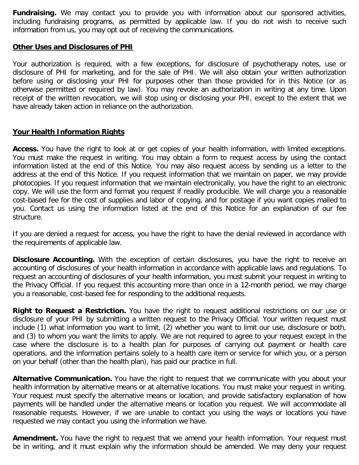**Fundraising.** We may contact you to provide you with information about our sponsored activities, including fundraising programs, as permitted by applicable law. If you do not wish to receive such information from us, you may opt out of receiving the communications.

#### **Other Uses and Disclosures of PHI**

Your authorization is required, with a few exceptions, for disclosure of psychotherapy notes, use or disclosure of PHI for marketing, and for the sale of PHI. We will also obtain your written authorization before using or disclosing your PHI for purposes other than those provided for in this Notice (or as otherwise permitted or required by law). You may revoke an authorization in writing at any time. Upon receipt of the written revocation, we will stop using or disclosing your PHI, except to the extent that we have already taken action in reliance on the authorization.

### **Your Health Information Rights**

**Access.** You have the right to look at or get copies of your health information, with limited exceptions. You must make the request in writing. You may obtain a form to request access by using the contact information listed at the end of this Notice. You may also request access by sending us a letter to the address at the end of this Notice. If you request information that we maintain on paper, we may provide photocopies. If you request information that we maintain electronically, you have the right to an electronic copy. We will use the form and format you request if readily producible. We will charge you a reasonable cost-based fee for the cost of supplies and labor of copying, and for postage if you want copies mailed to you. Contact us using the information listed at the end of this Notice for an explanation of our fee structure.

If you are denied a request for access, you have the right to have the denial reviewed in accordance with the requirements of applicable law.

**Disclosure Accounting.** With the exception of certain disclosures, you have the right to receive an accounting of disclosures of your health information in accordance with applicable laws and regulations. To request an accounting of disclosures of your health information, you must submit your request in writing to the Privacy Official. If you request this accounting more than once in a 12-month period, we may charge you a reasonable, cost-based fee for responding to the additional requests.

**Right to Request a Restriction.** You have the right to request additional restrictions on our use or disclosure of your PHI by submitting a written request to the Privacy Official. Your written request must include (1) what information you want to limit, (2) whether you want to limit our use, disclosure or both, and (3) to whom you want the limits to apply. We are not required to agree to your request except in the case where the disclosure is to a health plan for purposes of carrying out payment or health care operations, and the information pertains solely to a health care item or service for which you, or a person on your behalf (other than the health plan), has paid our practice in full.

**Alternative Communication.** You have the right to request that we communicate with you about your health information by alternative means or at alternative locations. You must make your request in writing. Your request must specify the alternative means or location, and provide satisfactory explanation of how payments will be handled under the alternative means or location you request. We will accommodate all reasonable requests. However, if we are unable to contact you using the ways or locations you have requested we may contact you using the information we have.

**Amendment.** You have the right to request that we amend your health information. Your request must be in writing, and it must explain why the information should be amended. We may deny your request